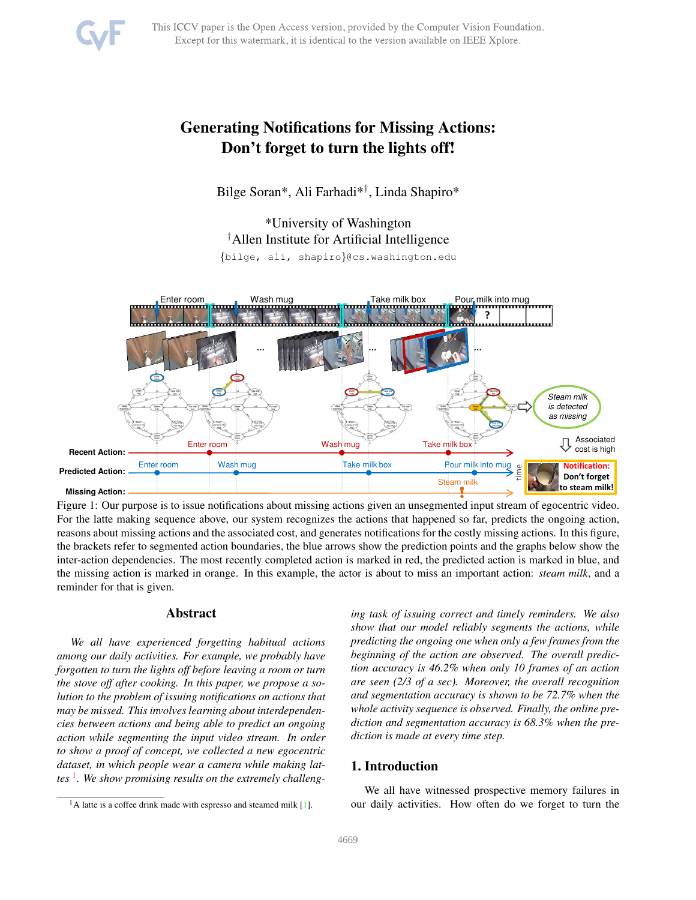# <span id="page-0-1"></span>Generating Notifications for Missing Actions: Don't forget to turn the lights off!

Bilge Soran\*, Ali Farhadi\*† , Linda Shapiro\*

\*University of Washington †Allen Institute for Artificial Intelligence {bilge, ali, shapiro}@cs.washington.edu



Figure 1: Our purpose is to issue notifications about missing actions given an unsegmented input stream of egocentric video. For the latte making sequence above, our system recognizes the actions that happened so far, predicts the ongoing action, reasons about missing actions and the associated cost, and generates notifications for the costly missing actions. In this figure, the brackets refer to segmented action boundaries, the blue arrows show the prediction points and the graphs below show the inter-action dependencies. The most recently completed action is marked in red, the predicted action is marked in blue, and the missing action is marked in orange. In this example, the actor is about to miss an important action: *steam milk*, and a reminder for that is given.

## Abstract

*We all have experienced forgetting habitual actions among our daily activities. For example, we probably have forgotten to turn the lights off before leaving a room or turn the stove off after cooking. In this paper, we propose a solution to the problem of issuing notifications on actions that may be missed. This involves learning about interdependencies between actions and being able to predict an ongoing action while segmenting the input video stream. In order to show a proof of concept, we collected a new egocentric dataset, in which people wear a camera while making lattes* [1](#page-0-0) *. We show promising results on the extremely challeng-*

# 1. Introduction

We all have witnessed prospective memory failures in our daily activities. How often do we forget to turn the

*ing task of issuing correct and timely reminders. We also show that our model reliably segments the actions, while predicting the ongoing one when only a few frames from the beginning of the action are observed. The overall prediction accuracy is 46.2% when only 10 frames of an action are seen (2/3 of a sec). Moreover, the overall recognition and segmentation accuracy is shown to be 72.7% when the whole activity sequence is observed. Finally, the online prediction and segmentation accuracy is 68.3% when the prediction is made at every time step.*

<span id="page-0-0"></span> $1A$  latte is a coffee drink made with espresso and steamed milk [\[1\]](#page-8-0).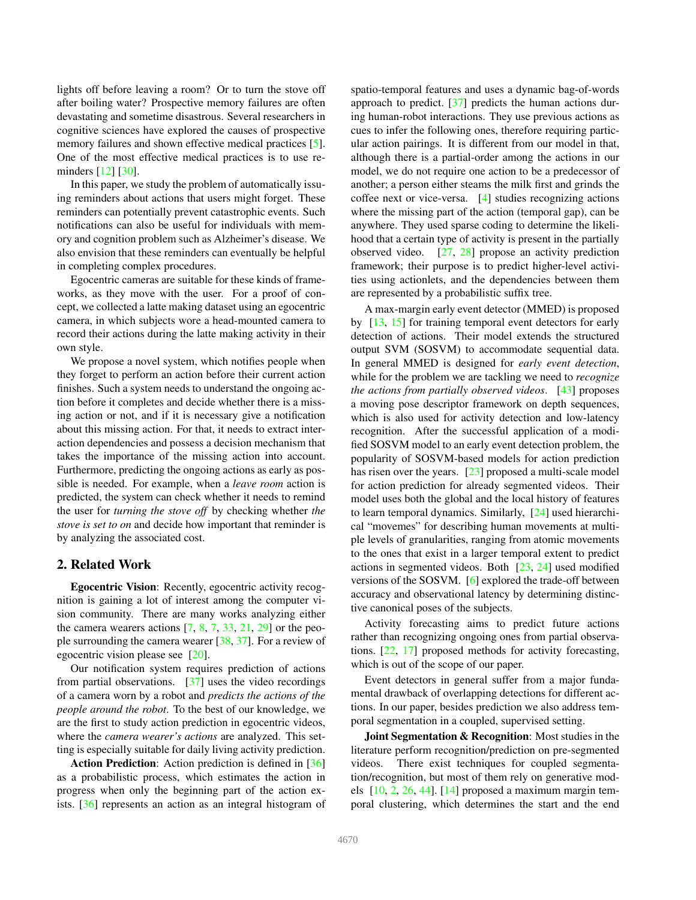<span id="page-1-0"></span>lights off before leaving a room? Or to turn the stove off after boiling water? Prospective memory failures are often devastating and sometime disastrous. Several researchers in cognitive sciences have explored the causes of prospective memory failures and shown effective medical practices [\[5\]](#page-8-1). One of the most effective medical practices is to use re-minders [\[12\]](#page-8-2) [\[30\]](#page-8-3).

In this paper, we study the problem of automatically issuing reminders about actions that users might forget. These reminders can potentially prevent catastrophic events. Such notifications can also be useful for individuals with memory and cognition problem such as Alzheimer's disease. We also envision that these reminders can eventually be helpful in completing complex procedures.

Egocentric cameras are suitable for these kinds of frameworks, as they move with the user. For a proof of concept, we collected a latte making dataset using an egocentric camera, in which subjects wore a head-mounted camera to record their actions during the latte making activity in their own style.

We propose a novel system, which notifies people when they forget to perform an action before their current action finishes. Such a system needs to understand the ongoing action before it completes and decide whether there is a missing action or not, and if it is necessary give a notification about this missing action. For that, it needs to extract interaction dependencies and possess a decision mechanism that takes the importance of the missing action into account. Furthermore, predicting the ongoing actions as early as possible is needed. For example, when a *leave room* action is predicted, the system can check whether it needs to remind the user for *turning the stove off* by checking whether *the stove is set to on* and decide how important that reminder is by analyzing the associated cost.

## 2. Related Work

Egocentric Vision: Recently, egocentric activity recognition is gaining a lot of interest among the computer vision community. There are many works analyzing either the camera wearers actions  $[7, 8, 7, 33, 21, 29]$  $[7, 8, 7, 33, 21, 29]$  $[7, 8, 7, 33, 21, 29]$  $[7, 8, 7, 33, 21, 29]$  $[7, 8, 7, 33, 21, 29]$  $[7, 8, 7, 33, 21, 29]$  $[7, 8, 7, 33, 21, 29]$  $[7, 8, 7, 33, 21, 29]$  $[7, 8, 7, 33, 21, 29]$  $[7, 8, 7, 33, 21, 29]$  or the people surrounding the camera wearer [\[38,](#page-8-9) [37\]](#page-8-10). For a review of egocentric vision please see [\[20\]](#page-8-11).

Our notification system requires prediction of actions from partial observations. [\[37\]](#page-8-10) uses the video recordings of a camera worn by a robot and *predicts the actions of the people around the robot*. To the best of our knowledge, we are the first to study action prediction in egocentric videos, where the *camera wearer's actions* are analyzed. This setting is especially suitable for daily living activity prediction.

Action Prediction: Action prediction is defined in [\[36\]](#page-8-12) as a probabilistic process, which estimates the action in progress when only the beginning part of the action exists. [\[36\]](#page-8-12) represents an action as an integral histogram of spatio-temporal features and uses a dynamic bag-of-words approach to predict. [\[37\]](#page-8-10) predicts the human actions during human-robot interactions. They use previous actions as cues to infer the following ones, therefore requiring particular action pairings. It is different from our model in that, although there is a partial-order among the actions in our model, we do not require one action to be a predecessor of another; a person either steams the milk first and grinds the coffee next or vice-versa. [\[4\]](#page-8-13) studies recognizing actions where the missing part of the action (temporal gap), can be anywhere. They used sparse coding to determine the likelihood that a certain type of activity is present in the partially observed video. [\[27,](#page-8-14) [28\]](#page-8-15) propose an activity prediction framework; their purpose is to predict higher-level activities using actionlets, and the dependencies between them are represented by a probabilistic suffix tree.

A max-margin early event detector (MMED) is proposed by [\[13,](#page-8-16) [15\]](#page-8-17) for training temporal event detectors for early detection of actions. Their model extends the structured output SVM (SOSVM) to accommodate sequential data. In general MMED is designed for *early event detection*, while for the problem we are tackling we need to *recognize the actions from partially observed videos*. [\[43\]](#page-8-18) proposes a moving pose descriptor framework on depth sequences, which is also used for activity detection and low-latency recognition. After the successful application of a modified SOSVM model to an early event detection problem, the popularity of SOSVM-based models for action prediction has risen over the years. [\[23\]](#page-8-19) proposed a multi-scale model for action prediction for already segmented videos. Their model uses both the global and the local history of features to learn temporal dynamics. Similarly, [\[24\]](#page-8-20) used hierarchical "movemes" for describing human movements at multiple levels of granularities, ranging from atomic movements to the ones that exist in a larger temporal extent to predict actions in segmented videos. Both [\[23,](#page-8-19) [24\]](#page-8-20) used modified versions of the SOSVM. [\[6\]](#page-8-21) explored the trade-off between accuracy and observational latency by determining distinctive canonical poses of the subjects.

Activity forecasting aims to predict future actions rather than recognizing ongoing ones from partial observations. [\[22,](#page-8-22) [17\]](#page-8-23) proposed methods for activity forecasting, which is out of the scope of our paper.

Event detectors in general suffer from a major fundamental drawback of overlapping detections for different actions. In our paper, besides prediction we also address temporal segmentation in a coupled, supervised setting.

Joint Segmentation & Recognition: Most studies in the literature perform recognition/prediction on pre-segmented videos. There exist techniques for coupled segmentation/recognition, but most of them rely on generative models  $[10, 2, 26, 44]$  $[10, 2, 26, 44]$  $[10, 2, 26, 44]$  $[10, 2, 26, 44]$  $[10, 2, 26, 44]$  $[10, 2, 26, 44]$  $[10, 2, 26, 44]$ .  $[14]$  proposed a maximum margin temporal clustering, which determines the start and the end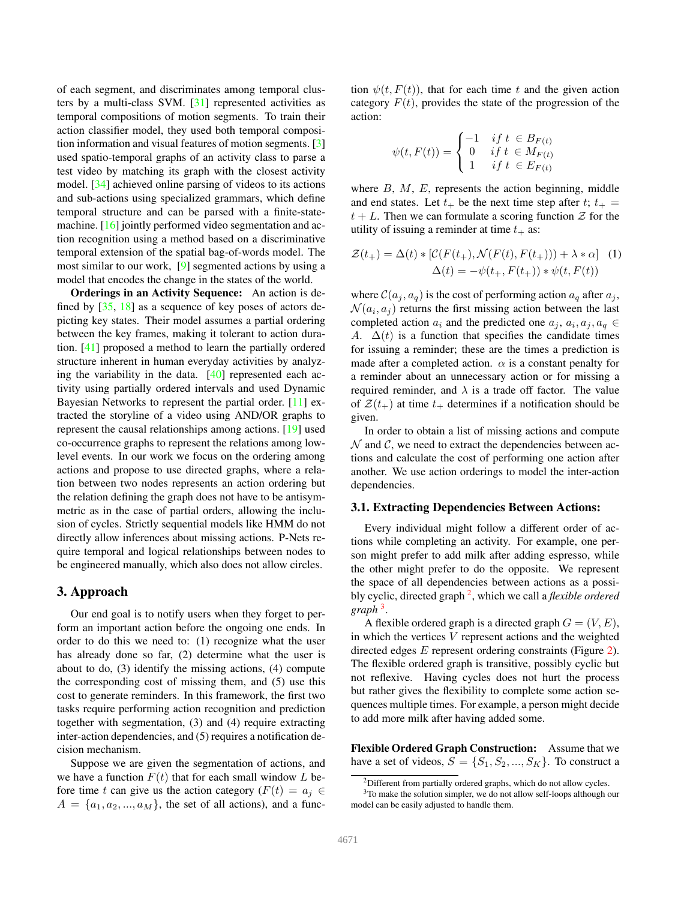<span id="page-2-3"></span>of each segment, and discriminates among temporal clusters by a multi-class SVM. [\[31\]](#page-8-29) represented activities as temporal compositions of motion segments. To train their action classifier model, they used both temporal composition information and visual features of motion segments. [\[3\]](#page-8-30) used spatio-temporal graphs of an activity class to parse a test video by matching its graph with the closest activity model. [\[34\]](#page-8-31) achieved online parsing of videos to its actions and sub-actions using specialized grammars, which define temporal structure and can be parsed with a finite-statemachine. [\[16\]](#page-8-32) jointly performed video segmentation and action recognition using a method based on a discriminative temporal extension of the spatial bag-of-words model. The most similar to our work, [\[9\]](#page-8-33) segmented actions by using a model that encodes the change in the states of the world.

Orderings in an Activity Sequence: An action is defined by [\[35,](#page-8-34) [18\]](#page-8-35) as a sequence of key poses of actors depicting key states. Their model assumes a partial ordering between the key frames, making it tolerant to action duration. [\[41\]](#page-8-36) proposed a method to learn the partially ordered structure inherent in human everyday activities by analyzing the variability in the data. [\[40\]](#page-8-37) represented each activity using partially ordered intervals and used Dynamic Bayesian Networks to represent the partial order. [\[11\]](#page-8-38) extracted the storyline of a video using AND/OR graphs to represent the causal relationships among actions. [\[19\]](#page-8-39) used co-occurrence graphs to represent the relations among lowlevel events. In our work we focus on the ordering among actions and propose to use directed graphs, where a relation between two nodes represents an action ordering but the relation defining the graph does not have to be antisymmetric as in the case of partial orders, allowing the inclusion of cycles. Strictly sequential models like HMM do not directly allow inferences about missing actions. P-Nets require temporal and logical relationships between nodes to be engineered manually, which also does not allow circles.

### 3. Approach

Our end goal is to notify users when they forget to perform an important action before the ongoing one ends. In order to do this we need to: (1) recognize what the user has already done so far, (2) determine what the user is about to do, (3) identify the missing actions, (4) compute the corresponding cost of missing them, and (5) use this cost to generate reminders. In this framework, the first two tasks require performing action recognition and prediction together with segmentation, (3) and (4) require extracting inter-action dependencies, and (5) requires a notification decision mechanism.

Suppose we are given the segmentation of actions, and we have a function  $F(t)$  that for each small window L before time t can give us the action category ( $F(t) = a_i \in$  $A = \{a_1, a_2, ..., a_M\}$ , the set of all actions), and a function  $\psi(t, F(t))$ , that for each time t and the given action category  $F(t)$ , provides the state of the progression of the action:

<span id="page-2-2"></span>
$$
\psi(t, F(t)) = \begin{cases}\n-1 & \text{if } t \in B_{F(t)} \\
0 & \text{if } t \in M_{F(t)} \\
1 & \text{if } t \in E_{F(t)}\n\end{cases}
$$

where  $B, M, E$ , represents the action beginning, middle and end states. Let  $t_+$  be the next time step after  $t; t_+ =$  $t + L$ . Then we can formulate a scoring function  $\mathcal Z$  for the utility of issuing a reminder at time  $t_+$  as:

$$
\mathcal{Z}(t_+) = \Delta(t) * [\mathcal{C}(F(t_+), \mathcal{N}(F(t), F(t_+))) + \lambda * \alpha] \tag{1}
$$

$$
\Delta(t) = -\psi(t_+, F(t_+)) * \psi(t, F(t))
$$

where  $C(a_i, a_q)$  is the cost of performing action  $a_q$  after  $a_j$ ,  $\mathcal{N}(a_i, a_j)$  returns the first missing action between the last completed action  $a_i$  and the predicted one  $a_j$ ,  $a_i$ ,  $a_j$ ,  $a_q \in$ A.  $\Delta(t)$  is a function that specifies the candidate times for issuing a reminder; these are the times a prediction is made after a completed action.  $\alpha$  is a constant penalty for a reminder about an unnecessary action or for missing a required reminder, and  $\lambda$  is a trade off factor. The value of  $\mathcal{Z}(t_+)$  at time  $t_+$  determines if a notification should be given.

In order to obtain a list of missing actions and compute  $N$  and  $C$ , we need to extract the dependencies between actions and calculate the cost of performing one action after another. We use action orderings to model the inter-action dependencies.

#### 3.1. Extracting Dependencies Between Actions:

Every individual might follow a different order of actions while completing an activity. For example, one person might prefer to add milk after adding espresso, while the other might prefer to do the opposite. We represent the space of all dependencies between actions as a possibly cyclic, directed graph [2](#page-2-0) , which we call a *flexible ordered graph* [3](#page-2-1) .

A flexible ordered graph is a directed graph  $G = (V, E)$ , in which the vertices  $V$  represent actions and the weighted directed edges E represent ordering constraints (Figure [2\)](#page-3-0). The flexible ordered graph is transitive, possibly cyclic but not reflexive. Having cycles does not hurt the process but rather gives the flexibility to complete some action sequences multiple times. For example, a person might decide to add more milk after having added some.

Flexible Ordered Graph Construction: Assume that we have a set of videos,  $S = \{S_1, S_2, ..., S_K\}$ . To construct a

<span id="page-2-1"></span><span id="page-2-0"></span><sup>2</sup>Different from partially ordered graphs, which do not allow cycles.

<sup>&</sup>lt;sup>3</sup>To make the solution simpler, we do not allow self-loops although our model can be easily adjusted to handle them.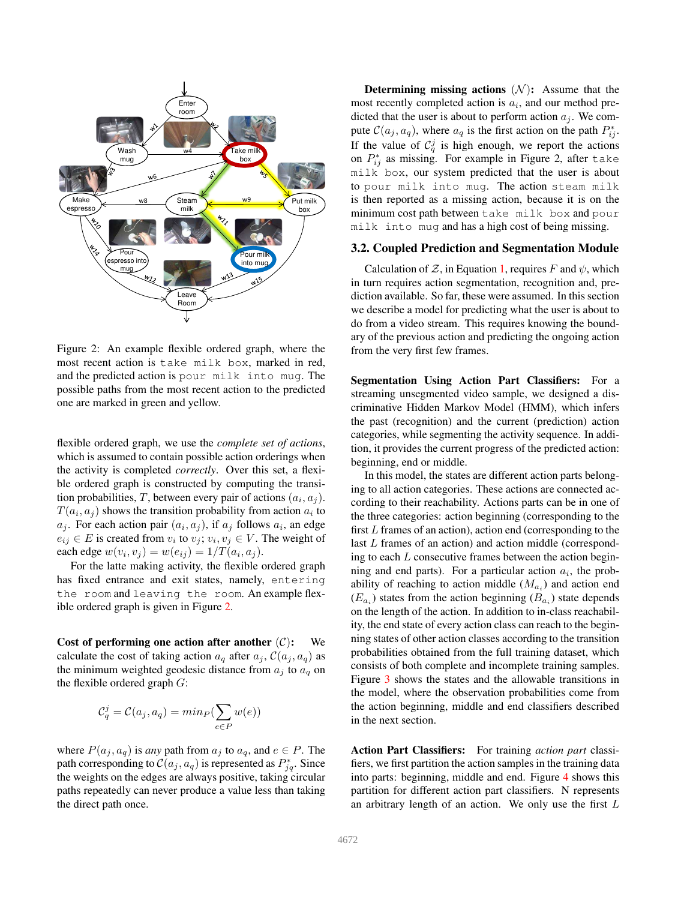<span id="page-3-0"></span>

Figure 2: An example flexible ordered graph, where the most recent action is take milk box, marked in red, and the predicted action is pour milk into mug. The possible paths from the most recent action to the predicted one are marked in green and yellow.

flexible ordered graph, we use the *complete set of actions*, which is assumed to contain possible action orderings when the activity is completed *correctly*. Over this set, a flexible ordered graph is constructed by computing the transition probabilities, T, between every pair of actions  $(a_i, a_j)$ .  $T(a_i, a_j)$  shows the transition probability from action  $a_i$  to  $a_j$ . For each action pair  $(a_i, a_j)$ , if  $a_j$  follows  $a_i$ , an edge  $e_{ij} \in E$  is created from  $v_i$  to  $v_j$ ;  $v_i, v_j \in V$ . The weight of each edge  $w(v_i, v_j) = w(e_{ij}) = 1/T(a_i, a_j)$ .

For the latte making activity, the flexible ordered graph has fixed entrance and exit states, namely, entering the room and leaving the room. An example flexible ordered graph is given in Figure [2.](#page-3-0)

Cost of performing one action after another  $(C)$ : We calculate the cost of taking action  $a_q$  after  $a_j$ ,  $\mathcal{C}(a_j, a_q)$  as the minimum weighted geodesic distance from  $a_j$  to  $a_q$  on the flexible ordered graph  $G$ :

$$
C_q^j = C(a_j, a_q) = min_P(\sum_{e \in P} w(e))
$$

where  $P(a_j, a_q)$  is *any* path from  $a_j$  to  $a_q$ , and  $e \in P$ . The path corresponding to  $\mathcal{C}(a_j, a_q)$  is represented as  $P_{jq}^*$ . Since the weights on the edges are always positive, taking circular paths repeatedly can never produce a value less than taking the direct path once.

Determining missing actions  $(N)$ : Assume that the most recently completed action is  $a_i$ , and our method predicted that the user is about to perform action  $a_j$ . We compute  $C(a_j, a_q)$ , where  $a_q$  is the first action on the path  $P_{ij}^*$ . If the value of  $\mathcal{C}_q^j$  is high enough, we report the actions on  $P_{ij}^*$  as missing. For example in Figure 2, after take milk box, our system predicted that the user is about to pour milk into mug. The action steam milk is then reported as a missing action, because it is on the minimum cost path between take milk box and pour milk into mug and has a high cost of being missing.

#### 3.2. Coupled Prediction and Segmentation Module

Calculation of  $\mathcal{Z}$ , in Equation [1,](#page-2-2) requires F and  $\psi$ , which in turn requires action segmentation, recognition and, prediction available. So far, these were assumed. In this section we describe a model for predicting what the user is about to do from a video stream. This requires knowing the boundary of the previous action and predicting the ongoing action from the very first few frames.

Segmentation Using Action Part Classifiers: For a streaming unsegmented video sample, we designed a discriminative Hidden Markov Model (HMM), which infers the past (recognition) and the current (prediction) action categories, while segmenting the activity sequence. In addition, it provides the current progress of the predicted action: beginning, end or middle.

In this model, the states are different action parts belonging to all action categories. These actions are connected according to their reachability. Actions parts can be in one of the three categories: action beginning (corresponding to the first  $L$  frames of an action), action end (corresponding to the last L frames of an action) and action middle (corresponding to each L consecutive frames between the action beginning and end parts). For a particular action  $a_i$ , the probability of reaching to action middle  $(M_{a_i})$  and action end  $(E_{a_i})$  states from the action beginning  $(B_{a_i})$  state depends on the length of the action. In addition to in-class reachability, the end state of every action class can reach to the beginning states of other action classes according to the transition probabilities obtained from the full training dataset, which consists of both complete and incomplete training samples. Figure [3](#page-4-0) shows the states and the allowable transitions in the model, where the observation probabilities come from the action beginning, middle and end classifiers described in the next section.

Action Part Classifiers: For training *action part* classifiers, we first partition the action samples in the training data into parts: beginning, middle and end. Figure [4](#page-4-1) shows this partition for different action part classifiers. N represents an arbitrary length of an action. We only use the first  $L$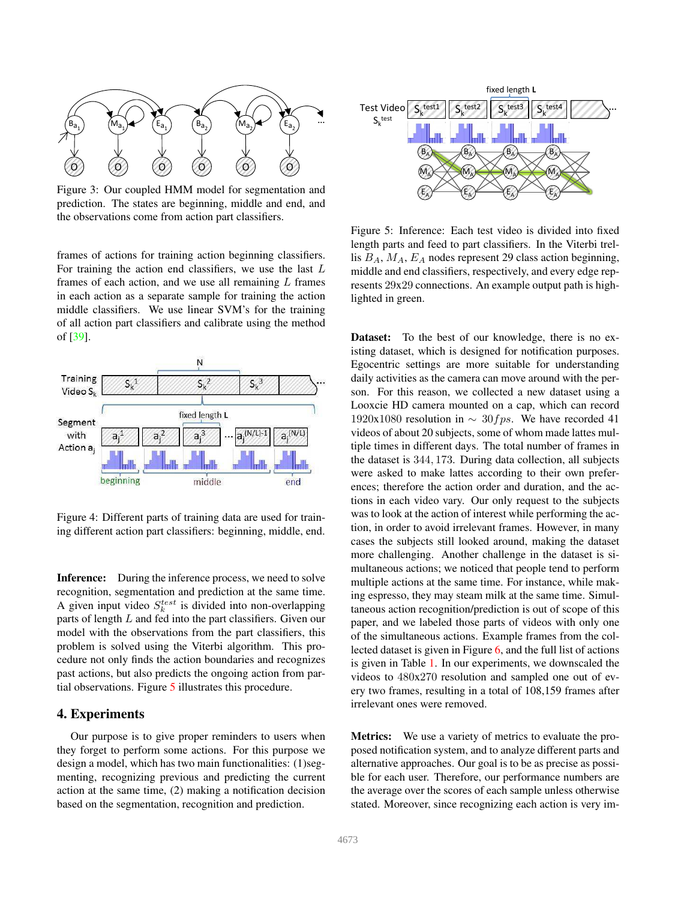<span id="page-4-3"></span><span id="page-4-0"></span>

Figure 3: Our coupled HMM model for segmentation and prediction. The states are beginning, middle and end, and the observations come from action part classifiers.

frames of actions for training action beginning classifiers. For training the action end classifiers, we use the last  $L$ frames of each action, and we use all remaining  $L$  frames in each action as a separate sample for training the action middle classifiers. We use linear SVM's for the training of all action part classifiers and calibrate using the method of [\[39\]](#page-8-40).

<span id="page-4-1"></span>

Figure 4: Different parts of training data are used for training different action part classifiers: beginning, middle, end.

Inference: During the inference process, we need to solve recognition, segmentation and prediction at the same time. A given input video  $S_k^{test}$  is divided into non-overlapping parts of length  $L$  and fed into the part classifiers. Given our model with the observations from the part classifiers, this problem is solved using the Viterbi algorithm. This procedure not only finds the action boundaries and recognizes past actions, but also predicts the ongoing action from partial observations. Figure [5](#page-4-2) illustrates this procedure.

## 4. Experiments

Our purpose is to give proper reminders to users when they forget to perform some actions. For this purpose we design a model, which has two main functionalities: (1)segmenting, recognizing previous and predicting the current action at the same time, (2) making a notification decision based on the segmentation, recognition and prediction.

<span id="page-4-2"></span>

Figure 5: Inference: Each test video is divided into fixed length parts and feed to part classifiers. In the Viterbi trellis  $B_A$ ,  $M_A$ ,  $E_A$  nodes represent 29 class action beginning, middle and end classifiers, respectively, and every edge represents 29x29 connections. An example output path is highlighted in green.

Dataset: To the best of our knowledge, there is no existing dataset, which is designed for notification purposes. Egocentric settings are more suitable for understanding daily activities as the camera can move around with the person. For this reason, we collected a new dataset using a Looxcie HD camera mounted on a cap, which can record 1920x1080 resolution in  $\sim 30fps$ . We have recorded 41 videos of about 20 subjects, some of whom made lattes multiple times in different days. The total number of frames in the dataset is 344, 173. During data collection, all subjects were asked to make lattes according to their own preferences; therefore the action order and duration, and the actions in each video vary. Our only request to the subjects was to look at the action of interest while performing the action, in order to avoid irrelevant frames. However, in many cases the subjects still looked around, making the dataset more challenging. Another challenge in the dataset is simultaneous actions; we noticed that people tend to perform multiple actions at the same time. For instance, while making espresso, they may steam milk at the same time. Simultaneous action recognition/prediction is out of scope of this paper, and we labeled those parts of videos with only one of the simultaneous actions. Example frames from the collected dataset is given in Figure [6,](#page-5-0) and the full list of actions is given in Table [1.](#page-5-1) In our experiments, we downscaled the videos to 480x270 resolution and sampled one out of every two frames, resulting in a total of 108,159 frames after irrelevant ones were removed.

Metrics: We use a variety of metrics to evaluate the proposed notification system, and to analyze different parts and alternative approaches. Our goal is to be as precise as possible for each user. Therefore, our performance numbers are the average over the scores of each sample unless otherwise stated. Moreover, since recognizing each action is very im-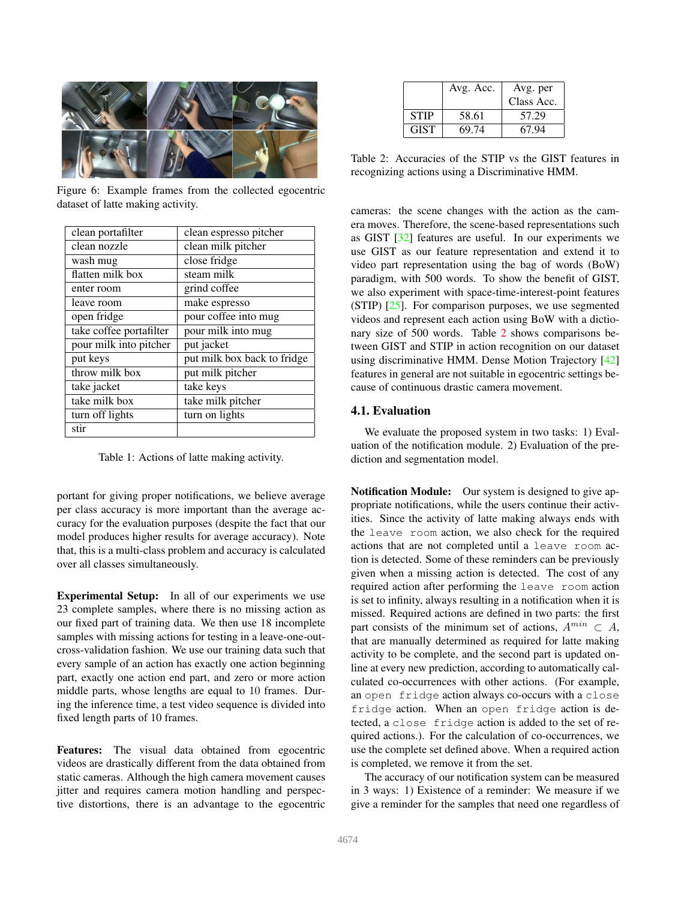<span id="page-5-3"></span><span id="page-5-0"></span>

Figure 6: Example frames from the collected egocentric dataset of latte making activity.

<span id="page-5-1"></span>

| clean portafilter       | clean espresso pitcher      |
|-------------------------|-----------------------------|
| clean nozzle            | clean milk pitcher          |
| wash mug                | close fridge                |
| flatten milk box        | steam milk                  |
| enter room              | grind coffee                |
| leave room              | make espresso               |
| open fridge             | pour coffee into mug        |
| take coffee portafilter | pour milk into mug          |
| pour milk into pitcher  | put jacket                  |
| put keys                | put milk box back to fridge |
| throw milk box          | put milk pitcher            |
| take jacket             | take keys                   |
| take milk box           | take milk pitcher           |
| turn off lights         | turn on lights              |
| stir                    |                             |

Table 1: Actions of latte making activity.

portant for giving proper notifications, we believe average per class accuracy is more important than the average accuracy for the evaluation purposes (despite the fact that our model produces higher results for average accuracy). Note that, this is a multi-class problem and accuracy is calculated over all classes simultaneously.

Experimental Setup: In all of our experiments we use 23 complete samples, where there is no missing action as our fixed part of training data. We then use 18 incomplete samples with missing actions for testing in a leave-one-outcross-validation fashion. We use our training data such that every sample of an action has exactly one action beginning part, exactly one action end part, and zero or more action middle parts, whose lengths are equal to 10 frames. During the inference time, a test video sequence is divided into fixed length parts of 10 frames.

Features: The visual data obtained from egocentric videos are drastically different from the data obtained from static cameras. Although the high camera movement causes jitter and requires camera motion handling and perspective distortions, there is an advantage to the egocentric

<span id="page-5-2"></span>

|             | Avg. Acc. | Avg. per   |
|-------------|-----------|------------|
|             |           | Class Acc. |
| <b>STIP</b> | 58.61     | 57.29      |
| <b>GIST</b> | 69.74     | 67.94      |

Table 2: Accuracies of the STIP vs the GIST features in recognizing actions using a Discriminative HMM.

cameras: the scene changes with the action as the camera moves. Therefore, the scene-based representations such as GIST [\[32\]](#page-8-41) features are useful. In our experiments we use GIST as our feature representation and extend it to video part representation using the bag of words (BoW) paradigm, with 500 words. To show the benefit of GIST, we also experiment with space-time-interest-point features (STIP) [\[25\]](#page-8-42). For comparison purposes, we use segmented videos and represent each action using BoW with a dictionary size of 500 words. Table [2](#page-5-2) shows comparisons between GIST and STIP in action recognition on our dataset using discriminative HMM. Dense Motion Trajectory [\[42\]](#page-8-43) features in general are not suitable in egocentric settings because of continuous drastic camera movement.

# 4.1. Evaluation

We evaluate the proposed system in two tasks: 1) Evaluation of the notification module. 2) Evaluation of the prediction and segmentation model.

Notification Module: Our system is designed to give appropriate notifications, while the users continue their activities. Since the activity of latte making always ends with the leave room action, we also check for the required actions that are not completed until a leave room action is detected. Some of these reminders can be previously given when a missing action is detected. The cost of any required action after performing the leave room action is set to infinity, always resulting in a notification when it is missed. Required actions are defined in two parts: the first part consists of the minimum set of actions,  $A^{min} \subset A$ , that are manually determined as required for latte making activity to be complete, and the second part is updated online at every new prediction, according to automatically calculated co-occurrences with other actions. (For example, an open fridge action always co-occurs with a close fridge action. When an open fridge action is detected, a close fridge action is added to the set of required actions.). For the calculation of co-occurrences, we use the complete set defined above. When a required action is completed, we remove it from the set.

The accuracy of our notification system can be measured in 3 ways: 1) Existence of a reminder: We measure if we give a reminder for the samples that need one regardless of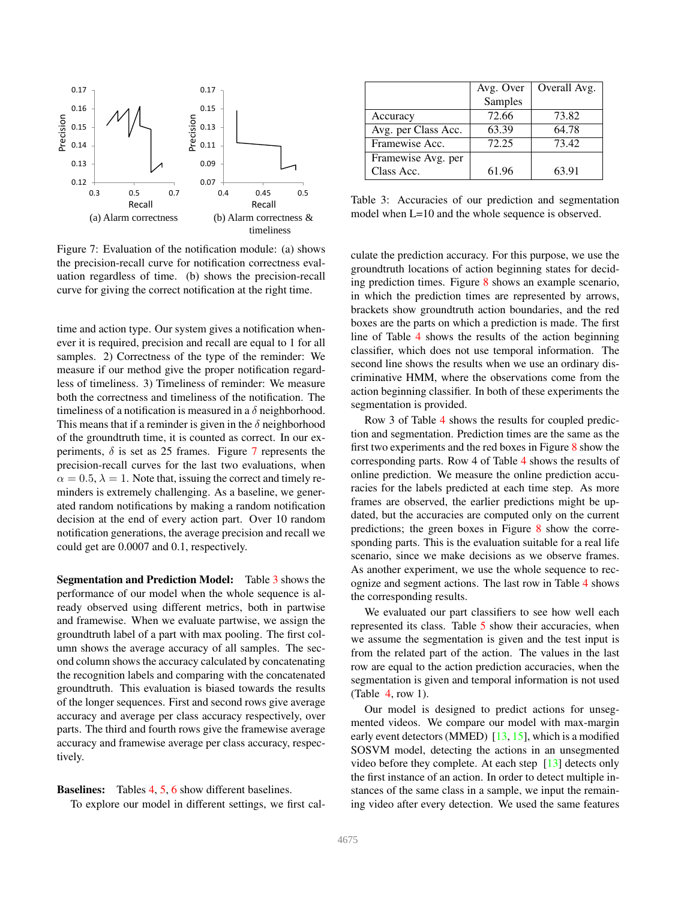<span id="page-6-2"></span><span id="page-6-0"></span>

Figure 7: Evaluation of the notification module: (a) shows the precision-recall curve for notification correctness evaluation regardless of time. (b) shows the precision-recall curve for giving the correct notification at the right time.

time and action type. Our system gives a notification whenever it is required, precision and recall are equal to 1 for all samples. 2) Correctness of the type of the reminder: We measure if our method give the proper notification regardless of timeliness. 3) Timeliness of reminder: We measure both the correctness and timeliness of the notification. The timeliness of a notification is measured in a  $\delta$  neighborhood. This means that if a reminder is given in the  $\delta$  neighborhood of the groundtruth time, it is counted as correct. In our experiments,  $\delta$  is set as 25 frames. Figure [7](#page-6-0) represents the precision-recall curves for the last two evaluations, when  $\alpha = 0.5, \lambda = 1$ . Note that, issuing the correct and timely reminders is extremely challenging. As a baseline, we generated random notifications by making a random notification decision at the end of every action part. Over 10 random notification generations, the average precision and recall we could get are 0.0007 and 0.1, respectively.

Segmentation and Prediction Model: Table [3](#page-6-1) shows the performance of our model when the whole sequence is already observed using different metrics, both in partwise and framewise. When we evaluate partwise, we assign the groundtruth label of a part with max pooling. The first column shows the average accuracy of all samples. The second column shows the accuracy calculated by concatenating the recognition labels and comparing with the concatenated groundtruth. This evaluation is biased towards the results of the longer sequences. First and second rows give average accuracy and average per class accuracy respectively, over parts. The third and fourth rows give the framewise average accuracy and framewise average per class accuracy, respectively.

# Baselines: Tables [4,](#page-7-0) [5,](#page-7-1) [6](#page-7-2) show different baselines.

To explore our model in different settings, we first cal-

<span id="page-6-1"></span>

|                     | Avg. Over | Overall Avg. |
|---------------------|-----------|--------------|
|                     | Samples   |              |
| Accuracy            | 72.66     | 73.82        |
| Avg. per Class Acc. | 63.39     | 64.78        |
| Framewise Acc.      | 72.25     | 73.42        |
| Framewise Avg. per  |           |              |
| Class Acc.          | 61.96     | 63.91        |

Table 3: Accuracies of our prediction and segmentation model when L=10 and the whole sequence is observed.

culate the prediction accuracy. For this purpose, we use the groundtruth locations of action beginning states for deciding prediction times. Figure [8](#page-7-3) shows an example scenario, in which the prediction times are represented by arrows, brackets show groundtruth action boundaries, and the red boxes are the parts on which a prediction is made. The first line of Table [4](#page-7-0) shows the results of the action beginning classifier, which does not use temporal information. The second line shows the results when we use an ordinary discriminative HMM, where the observations come from the action beginning classifier. In both of these experiments the segmentation is provided.

Row 3 of Table [4](#page-7-0) shows the results for coupled prediction and segmentation. Prediction times are the same as the first two experiments and the red boxes in Figure [8](#page-7-3) show the corresponding parts. Row 4 of Table [4](#page-7-0) shows the results of online prediction. We measure the online prediction accuracies for the labels predicted at each time step. As more frames are observed, the earlier predictions might be updated, but the accuracies are computed only on the current predictions; the green boxes in Figure [8](#page-7-3) show the corresponding parts. This is the evaluation suitable for a real life scenario, since we make decisions as we observe frames. As another experiment, we use the whole sequence to recognize and segment actions. The last row in Table [4](#page-7-0) shows the corresponding results.

We evaluated our part classifiers to see how well each represented its class. Table [5](#page-7-1) show their accuracies, when we assume the segmentation is given and the test input is from the related part of the action. The values in the last row are equal to the action prediction accuracies, when the segmentation is given and temporal information is not used (Table [4,](#page-7-0) row 1).

Our model is designed to predict actions for unsegmented videos. We compare our model with max-margin early event detectors (MMED) [\[13,](#page-8-16) [15\]](#page-8-17), which is a modified SOSVM model, detecting the actions in an unsegmented video before they complete. At each step [\[13\]](#page-8-16) detects only the first instance of an action. In order to detect multiple instances of the same class in a sample, we input the remaining video after every detection. We used the same features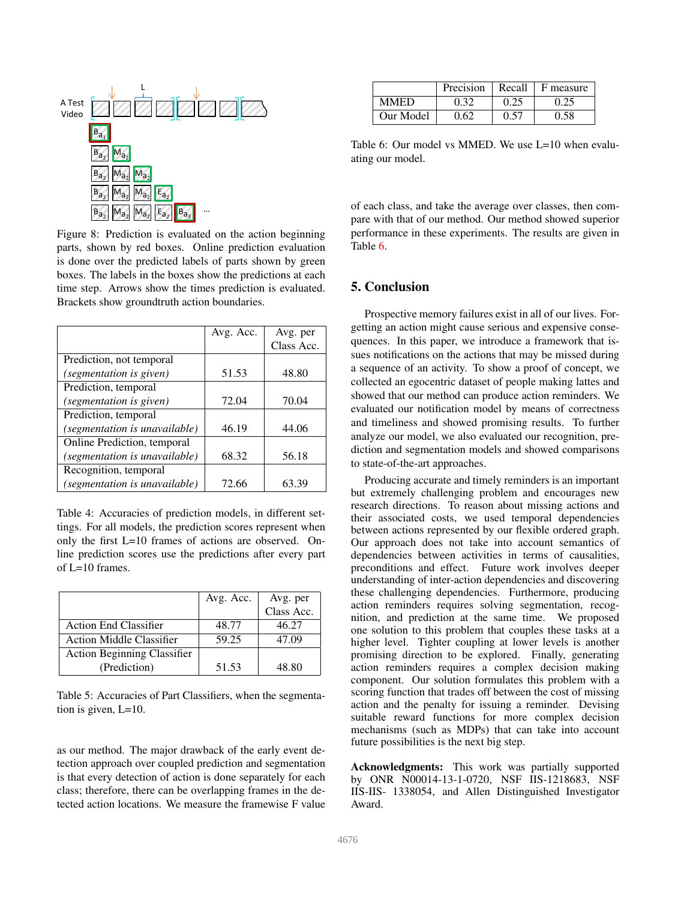<span id="page-7-3"></span>

Figure 8: Prediction is evaluated on the action beginning parts, shown by red boxes. Online prediction evaluation is done over the predicted labels of parts shown by green boxes. The labels in the boxes show the predictions at each time step. Arrows show the times prediction is evaluated. Brackets show groundtruth action boundaries.

<span id="page-7-0"></span>

|                               | Avg. Acc. | Avg. per   |
|-------------------------------|-----------|------------|
|                               |           | Class Acc. |
| Prediction, not temporal      |           |            |
| (segmentation is given)       | 51.53     | 48.80      |
| Prediction, temporal          |           |            |
| (segmentation is given)       | 72.04     | 70.04      |
| Prediction, temporal          |           |            |
| (segmentation is unavailable) | 46.19     | 44.06      |
| Online Prediction, temporal   |           |            |
| (segmentation is unavailable) | 68.32     | 56.18      |
| Recognition, temporal         |           |            |
| (segmentation is unavailable) | 72.66     | 63.39      |

Table 4: Accuracies of prediction models, in different settings. For all models, the prediction scores represent when only the first L=10 frames of actions are observed. Online prediction scores use the predictions after every part of L=10 frames.

<span id="page-7-1"></span>

|                                    | Avg. Acc. | Avg. per<br>Class Acc. |
|------------------------------------|-----------|------------------------|
|                                    |           |                        |
| <b>Action End Classifier</b>       | 48.77     | 46.27                  |
| <b>Action Middle Classifier</b>    | 59.25     | 47.09                  |
| <b>Action Beginning Classifier</b> |           |                        |
| (Prediction)                       | 51.53     | 48.80                  |

Table 5: Accuracies of Part Classifiers, when the segmentation is given, L=10.

as our method. The major drawback of the early event detection approach over coupled prediction and segmentation is that every detection of action is done separately for each class; therefore, there can be overlapping frames in the detected action locations. We measure the framewise F value

<span id="page-7-2"></span>

|             | Precision |      | Recall $\perp$ F measure |
|-------------|-----------|------|--------------------------|
| <b>MMED</b> | 0.32      | 0.25 | 0.25                     |
| Our Model   | 0.62      | 0.57 | 0.58                     |

Table 6: Our model vs MMED. We use L=10 when evaluating our model.

of each class, and take the average over classes, then compare with that of our method. Our method showed superior performance in these experiments. The results are given in Table [6.](#page-7-2)

# 5. Conclusion

Prospective memory failures exist in all of our lives. Forgetting an action might cause serious and expensive consequences. In this paper, we introduce a framework that issues notifications on the actions that may be missed during a sequence of an activity. To show a proof of concept, we collected an egocentric dataset of people making lattes and showed that our method can produce action reminders. We evaluated our notification model by means of correctness and timeliness and showed promising results. To further analyze our model, we also evaluated our recognition, prediction and segmentation models and showed comparisons to state-of-the-art approaches.

Producing accurate and timely reminders is an important but extremely challenging problem and encourages new research directions. To reason about missing actions and their associated costs, we used temporal dependencies between actions represented by our flexible ordered graph. Our approach does not take into account semantics of dependencies between activities in terms of causalities, preconditions and effect. Future work involves deeper understanding of inter-action dependencies and discovering these challenging dependencies. Furthermore, producing action reminders requires solving segmentation, recognition, and prediction at the same time. We proposed one solution to this problem that couples these tasks at a higher level. Tighter coupling at lower levels is another promising direction to be explored. Finally, generating action reminders requires a complex decision making component. Our solution formulates this problem with a scoring function that trades off between the cost of missing action and the penalty for issuing a reminder. Devising suitable reward functions for more complex decision mechanisms (such as MDPs) that can take into account future possibilities is the next big step.

Acknowledgments: This work was partially supported by ONR N00014-13-1-0720, NSF IIS-1218683, NSF IIS-IIS- 1338054, and Allen Distinguished Investigator Award.